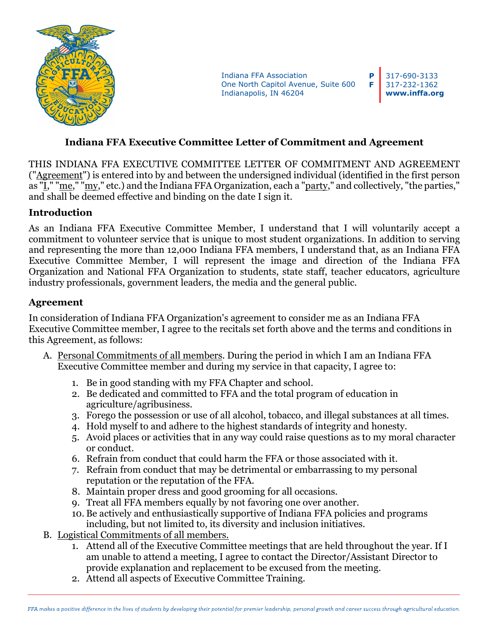

Indiana FFA Association One North Capitol Avenue, Suite 600 Indianapolis, IN 46204

317-690-3133 317-232-1362 **www.inffa.org**

**P F**

## **Indiana FFA Executive Committee Letter of Commitment and Agreement**

THIS INDIANA FFA EXECUTIVE COMMITTEE LETTER OF COMMITMENT AND AGREEMENT ("Agreement") is entered into by and between the undersigned individual (identified in the first person as "I," "me," "my," etc.) and the Indiana FFA Organization, each a "party," and collectively, "the parties," and shall be deemed effective and binding on the date I sign it.

## **Introduction**

As an Indiana FFA Executive Committee Member, I understand that I will voluntarily accept a commitment to volunteer service that is unique to most student organizations. In addition to serving and representing the more than 12,000 Indiana FFA members, I understand that, as an Indiana FFA Executive Committee Member, I will represent the image and direction of the Indiana FFA Organization and National FFA Organization to students, state staff, teacher educators, agriculture industry professionals, government leaders, the media and the general public.

## **Agreement**

In consideration of Indiana FFA Organization's agreement to consider me as an Indiana FFA Executive Committee member, I agree to the recitals set forth above and the terms and conditions in this Agreement, as follows:

- A. Personal Commitments of all members. During the period in which I am an Indiana FFA Executive Committee member and during my service in that capacity, I agree to:
	- 1. Be in good standing with my FFA Chapter and school.
	- 2. Be dedicated and committed to FFA and the total program of education in agriculture/agribusiness.
	- 3. Forego the possession or use of all alcohol, tobacco, and illegal substances at all times.
	- 4. Hold myself to and adhere to the highest standards of integrity and honesty.
	- 5. Avoid places or activities that in any way could raise questions as to my moral character or conduct.
	- 6. Refrain from conduct that could harm the FFA or those associated with it.
	- 7. Refrain from conduct that may be detrimental or embarrassing to my personal reputation or the reputation of the FFA.
	- 8. Maintain proper dress and good grooming for all occasions.
	- 9. Treat all FFA members equally by not favoring one over another.
	- 10. Be actively and enthusiastically supportive of Indiana FFA policies and programs including, but not limited to, its diversity and inclusion initiatives.
- B. Logistical Commitments of all members.
	- 1. Attend all of the Executive Committee meetings that are held throughout the year. If I am unable to attend a meeting, I agree to contact the Director/Assistant Director to provide explanation and replacement to be excused from the meeting.
	- 2. Attend all aspects of Executive Committee Training.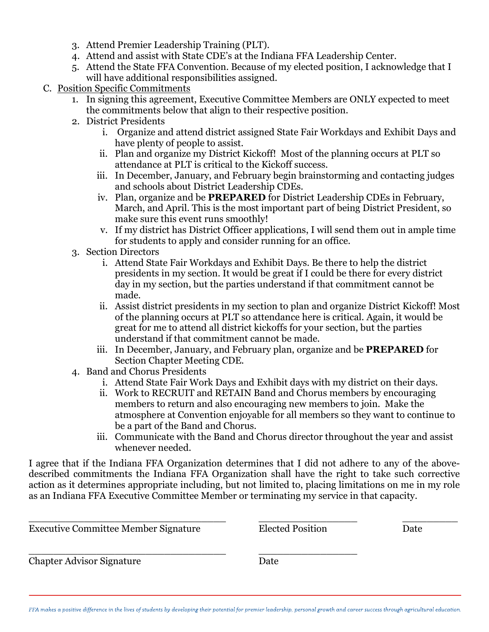- 3. Attend Premier Leadership Training (PLT).
- 4. Attend and assist with State CDE's at the Indiana FFA Leadership Center.
- 5. Attend the State FFA Convention. Because of my elected position, I acknowledge that I will have additional responsibilities assigned.
- C. Position Specific Commitments
	- 1. In signing this agreement, Executive Committee Members are ONLY expected to meet the commitments below that align to their respective position.
	- 2. District Presidents
		- i. Organize and attend district assigned State Fair Workdays and Exhibit Days and have plenty of people to assist.
		- ii. Plan and organize my District Kickoff! Most of the planning occurs at PLT so attendance at PLT is critical to the Kickoff success.
		- iii. In December, January, and February begin brainstorming and contacting judges and schools about District Leadership CDEs.
		- iv. Plan, organize and be **PREPARED** for District Leadership CDEs in February, March, and April. This is the most important part of being District President, so make sure this event runs smoothly!
		- v. If my district has District Officer applications, I will send them out in ample time for students to apply and consider running for an office.
	- 3. Section Directors
		- i. Attend State Fair Workdays and Exhibit Days. Be there to help the district presidents in my section. It would be great if I could be there for every district day in my section, but the parties understand if that commitment cannot be made.
		- ii. Assist district presidents in my section to plan and organize District Kickoff! Most of the planning occurs at PLT so attendance here is critical. Again, it would be great for me to attend all district kickoffs for your section, but the parties understand if that commitment cannot be made.
		- iii. In December, January, and February plan, organize and be **PREPARED** for Section Chapter Meeting CDE.
	- 4. Band and Chorus Presidents
		- i. Attend State Fair Work Days and Exhibit days with my district on their days.
		- ii. Work to RECRUIT and RETAIN Band and Chorus members by encouraging members to return and also encouraging new members to join. Make the atmosphere at Convention enjoyable for all members so they want to continue to be a part of the Band and Chorus.
		- iii. Communicate with the Band and Chorus director throughout the year and assist whenever needed.

I agree that if the Indiana FFA Organization determines that I did not adhere to any of the abovedescribed commitments the Indiana FFA Organization shall have the right to take such corrective action as it determines appropriate including, but not limited to, placing limitations on me in my role as an Indiana FFA Executive Committee Member or terminating my service in that capacity.

| <b>Executive Committee Member Signature</b> | <b>Elected Position</b> | Date |
|---------------------------------------------|-------------------------|------|
| <b>Chapter Advisor Signature</b>            | Date                    |      |